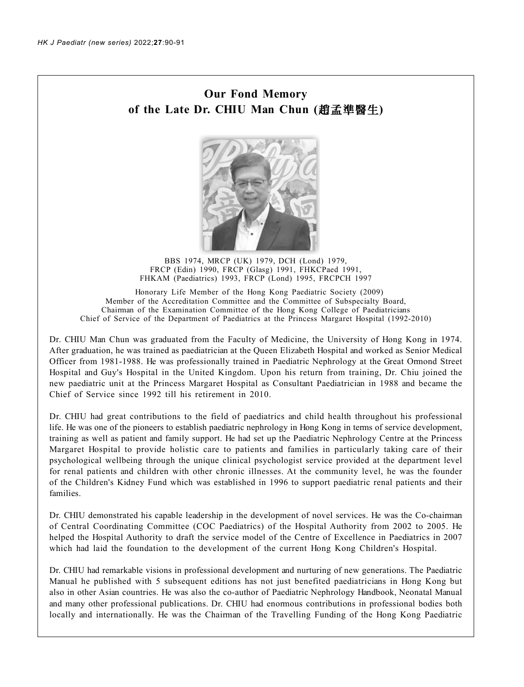## **Our Fond Memory of the Late Dr. CHIU Man Chun ( )**



BBS 1974, MRCP (UK) 1979, DCH (Lond) 1979, FRCP (Edin) 1990, FRCP (Glasg) 1991, FHKCPaed 1991, FHKAM (Paediatrics) 1993, FRCP (Lond) 1995, FRCPCH 1997

 Honorary Life Member of the Hong Kong Paediatric Society (2009) Member of the Accreditation Committee and the Committee of Subspecialty Board, Chairman of the Examination Committee of the Hong Kong College of Paediatricians Chief of Service of the Department of Paediatrics at the Princess Margaret Hospital (1992-2010)

Dr. CHIU Man Chun was graduated from the Faculty of Medicine, the University of Hong Kong in 1974. After graduation, he was trained as paediatrician at the Queen Elizabeth Hospital and worked as Senior Medical Officer from 1981-1988. He was professionally trained in Paediatric Nephrology at the Great Ormond Street Hospital and Guy's Hospital in the United Kingdom. Upon his return from training, Dr. Chiu joined the new paediatric unit at the Princess Margaret Hospital as Consultant Paediatrician in 1988 and became the Chief of Service since 1992 till his retirement in 2010.

Dr. CHIU had great contributions to the field of paediatrics and child health throughout his professional life. He was one of the pioneers to establish paediatric nephrology in Hong Kong in terms of service development, training as well as patient and family support. He had set up the Paediatric Nephrology Centre at the Princess Margaret Hospital to provide holistic care to patients and families in particularly taking care of their psychological wellbeing through the unique clinical psychologist service provided at the department level for renal patients and children with other chronic illnesses. At the community level, he was the founder of the Children's Kidney Fund which was established in 1996 to support paediatric renal patients and their families.

Dr. CHIU demonstrated his capable leadership in the development of novel services. He was the Co-chairman of Central Coordinating Committee (COC Paediatrics) of the Hospital Authority from 2002 to 2005. He helped the Hospital Authority to draft the service model of the Centre of Excellence in Paediatrics in 2007 which had laid the foundation to the development of the current Hong Kong Children's Hospital.

Dr. CHIU had remarkable visions in professional development and nurturing of new generations. The Paediatric Manual he published with 5 subsequent editions has not just benefited paediatricians in Hong Kong but also in other Asian countries. He was also the co-author of Paediatric Nephrology Handbook, Neonatal Manual and many other professional publications. Dr. CHIU had enormous contributions in professional bodies both locally and internationally. He was the Chairman of the Travelling Funding of the Hong Kong Paediatric